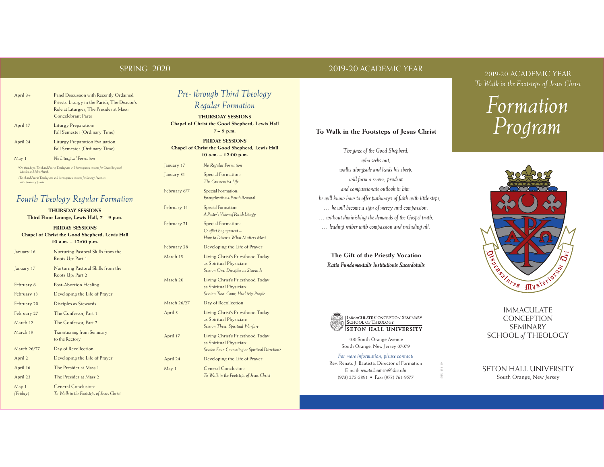#### SPRING 2020

April 3+ Panel Discussion with Recently Ordained

Concelebrant Parts

April 24 Liturgy Preparation Evaluation:

*\*On these days, Third and Fourth Theologians will have separate sessions for Chant/Sing with* 

*Fourth Theology Regular Formation* **THURSDAY SESSIONS Third Floor Lounge, Lewis Hall, 7 – 9 p.m. FRIDAY SESSIONS Chapel of Christ the Good Shepherd, Lewis Hall 10 a.m. – 12:00 p.m.** January 16 Nurturing Pastoral Skills from the Roots Up: Part 1 January 17 Nurturing Pastoral Skills from the Roots Up: Part 2

*+Third and Fourth Theologians will have separate sessions for Liturgy Practices* 

February 6 Post-Abortion Healing February 13 Developing the Life of Prayer February 20 Disciples as Stewards February 27 The Confessor, Part 1 March 12 The Confessor, Part 2 March 19 Transitioning from Seminary to the Rectory

March 26/27 Day of Recollection April 2 Developing the Life of Prayer April 16 The Presider at Mass 1 April 23 The Presider at Mass 2 May 1 General Conclusion: *(Friday) To Walk in the Footsteps of Jesus Christ*

Fall Semester (Ordinary Time)

Fall Semester (Ordinary Time)

April 17 Liturgy Preparation:

May 1 *No Liturgical Formation*

*Martha and John Nowik.*

*with Seminary priests.*

Priests: Liturgy in the Parish; The Deacon's Role at Liturgies; The Presider at Mass:

#### 2019-20 ACADEMIC YEAR

2019-20 ACADEMIC YEAR *To Walk in the Footsteps of Jesus Christ* 





#### IMMACULATE **CONCEPTION** SEMINARY SCHOOL *of* THEOLOGY

#### SETON HALL UNIVERSITY South Orange, New Jersey

# *Pre- through Third Theology*

#### *Regular Formation*

**THURSDAY SESSIONS Chapel of Christ the Good Shepherd, Lewis Hall 7 – 9 p.m.**

**FRIDAY SESSIONS Chapel of Christ the Good Shepherd, Lewis Hall 10 a.m. – 12:00 p.m.**

January 17 *No Regular Formation* January 31 Special Formation: *The Consecrated Life* 

February 6/7 Special Formation: *Evangelization & Parish Renewal* 

February 14 Special Formation: *A Pastor's Vision of Parish Liturgy*

February 21 Special Formation: *Conflict Engagement – How to Discuss What Matters Most* February 28 Developing the Life of Prayer March 13 Living Christ's Priesthood Today

as Spiritual Physician: *Session One: Disciples as Stewards* March 20 Living Christ's Priesthood Today as Spiritual Physician: *Session Two: Come, Heal My People*

March 26/27 Day of Recollection April 3 Living Christ's Priesthood Today as Spiritual Physician: *Session Three: Spiritual Warfare*

April 17 Living Christ's Priesthood Today as Spiritual Physician: *Session Four: Counseling or Spiritual Direction?* April 24 Developing the Life of Prayer

May 1 General Conclusion: *To Walk in the Footsteps of Jesus Christ*

# **To Walk in the Footsteps of Jesus Christ**

*The gaze of the Good Shepherd, who seeks out, walks alongside and leads his sheep, will form a serene, prudent and compassionate outlook in him. … he will know how to offer pathways of faith with little steps, … he will become a sign of mercy and compassion, … without diminishing the demands of the Gospel truth, … leading rather with compassion and including all.*

#### **The Gift of the Priestly Vocation** *Ratio Fundamentalis Institutionis Sacerdotalis*



400 South Orange Avenue South Orange, New Jersey 07079

#### *For more information, please contact:*

Rev. Renato J. Bautista, Director of Formation E-mail: *renato.bautista@shu.edu* (973) 275-5891 • Fax: (973) 761-9577

SHU-434-19